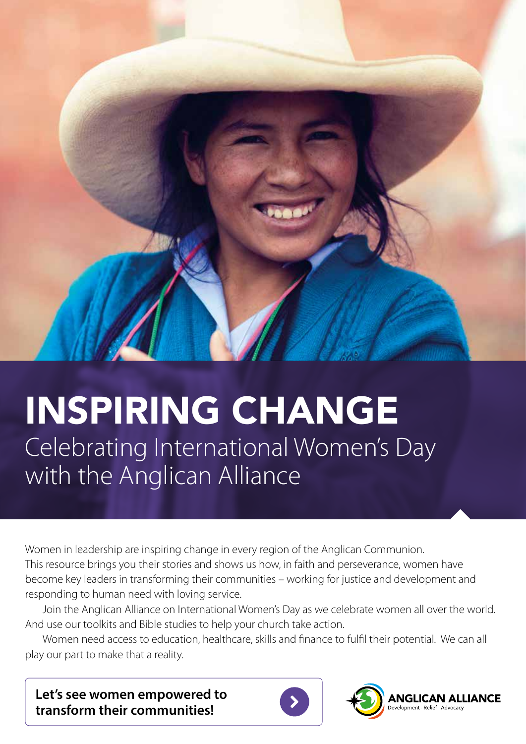

# INSPIRING CHANGE Celebrating International Women's Day with the Anglican Alliance

Women in leadership are inspiring change in every region of the Anglican Communion. This resource brings you their stories and shows us how, in faith and perseverance, women have become key leaders in transforming their communities – working for justice and development and responding to human need with loving service.

Join the Anglican Alliance on International Women's Day as we celebrate women all over the world. And use our toolkits and Bible studies to help your church take action.

Women need access to education, healthcare, skills and finance to fulfil their potential. We can all play our part to make that a reality.

**Let's see women empowered to transform their communities!**



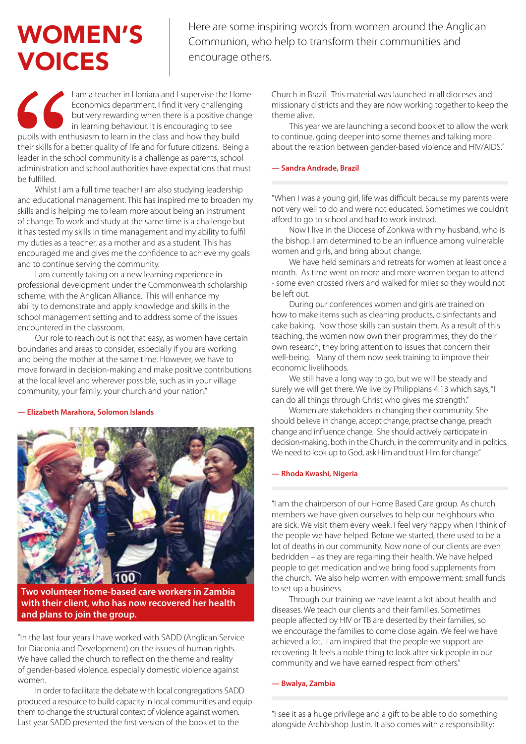## WOMEN'S VOICES

Here are some inspiring words from women around the Anglican Communion, who help to transform their communities and encourage others.

I am a teacher in Honiara and I supervise the Home Economics department. I find it very challenging but very rewarding when there is a positive change in learning behaviour. It is encouraging to see pupils with enthusiasm to learn in the class and how they build their skills for a better quality of life and for future citizens. Being a leader in the school community is a challenge as parents, school administration and school authorities have expectations that must be fulfilled.

Whilst I am a full time teacher I am also studying leadership and educational management. This has inspired me to broaden my skills and is helping me to learn more about being an instrument of change. To work and study at the same time is a challenge but it has tested my skills in time management and my ability to fulfil my duties as a teacher, as a mother and as a student. This has encouraged me and gives me the confidence to achieve my goals and to continue serving the community.

I am currently taking on a new learning experience in professional development under the Commonwealth scholarship scheme, with the Anglican Alliance. This will enhance my ability to demonstrate and apply knowledge and skills in the school management setting and to address some of the issues encountered in the classroom.

Our role to reach out is not that easy, as women have certain boundaries and areas to consider, especially if you are working and being the mother at the same time. However, we have to move forward in decision-making and make positive contributions at the local level and wherever possible, such as in your village community, your family, your church and your nation."

#### **— Elizabeth Marahora, Solomon Islands**



**Two volunteer home-based care workers in Zambia with their client, who has now recovered her health and plans to join the group.**

"In the last four years I have worked with SADD (Anglican Service for Diaconia and Development) on the issues of human rights. We have called the church to reflect on the theme and reality of gender-based violence, especially domestic violence against women.

In order to facilitate the debate with local congregations SADD produced a resource to build capacity in local communities and equip them to change the structural context of violence against women. Last year SADD presented the first version of the booklet to the

Church in Brazil. This material was launched in all dioceses and missionary districts and they are now working together to keep the theme alive.

This year we are launching a second booklet to allow the work to continue, going deeper into some themes and talking more about the relation between gender-based violence and HIV/AIDS."

#### **— Sandra Andrade, Brazil**

"When I was a young girl, life was difficult because my parents were not very well to do and were not educated. Sometimes we couldn't afford to go to school and had to work instead.

Now I live in the Diocese of Zonkwa with my husband, who is the bishop. I am determined to be an influence among vulnerable women and girls, and bring about change.

We have held seminars and retreats for women at least once a month. As time went on more and more women began to attend - some even crossed rivers and walked for miles so they would not be left out.

During our conferences women and girls are trained on how to make items such as cleaning products, disinfectants and cake baking. Now those skills can sustain them. As a result of this teaching, the women now own their programmes; they do their own research; they bring attention to issues that concern their well-being. Many of them now seek training to improve their economic livelihoods.

We still have a long way to go, but we will be steady and surely we will get there. We live by Philippians 4:13 which says, "I can do all things through Christ who gives me strength."

Women are stakeholders in changing their community. She should believe in change, accept change, practise change, preach change and influence change. She should actively participate in decision-making, both in the Church, in the community and in politics. We need to look up to God, ask Him and trust Him for change."

#### **— Rhoda Kwashi, Nigeria**

"I am the chairperson of our Home Based Care group. As church members we have given ourselves to help our neighbours who are sick. We visit them every week. I feel very happy when I think of the people we have helped. Before we started, there used to be a lot of deaths in our community. Now none of our clients are even bedridden – as they are regaining their health. We have helped people to get medication and we bring food supplements from the church. We also help women with empowerment: small funds to set up a business.

Through our training we have learnt a lot about health and diseases. We teach our clients and their families. Sometimes people affected by HIV or TB are deserted by their families, so we encourage the families to come close again. We feel we have achieved a lot. I am inspired that the people we support are recovering. It feels a noble thing to look after sick people in our community and we have earned respect from others."

#### **— Bwalya, Zambia**

"I see it as a huge privilege and a gift to be able to do something alongside Archbishop Justin. It also comes with a responsibility: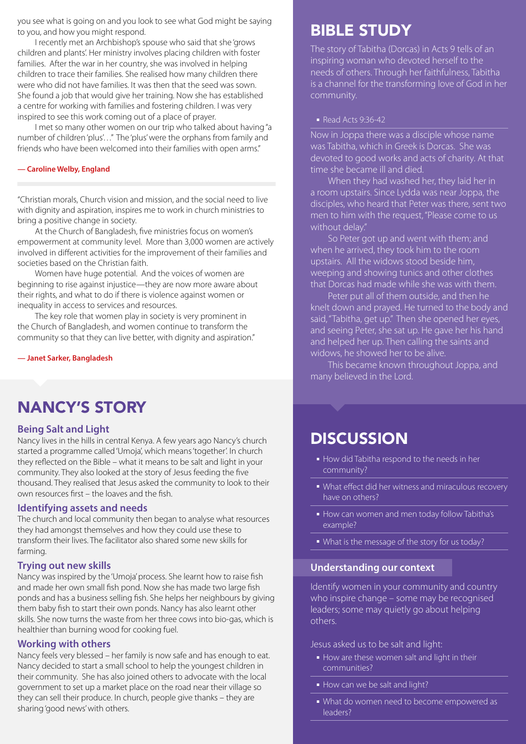you see what is going on and you look to see what God might be saying to you, and how you might respond.

I recently met an Archbishop's spouse who said that she 'grows children and plants'. Her ministry involves placing children with foster families. After the war in her country, she was involved in helping children to trace their families. She realised how many children there were who did not have families. It was then that the seed was sown. She found a job that would give her training. Now she has established a centre for working with families and fostering children. I was very inspired to see this work coming out of a place of prayer.

I met so many other women on our trip who talked about having "a number of children 'plus'…" The 'plus' were the orphans from family and friends who have been welcomed into their families with open arms."

#### **— Caroline Welby, England**

"Christian morals, Church vision and mission, and the social need to live with dignity and aspiration, inspires me to work in church ministries to bring a positive change in society.

At the Church of Bangladesh, five ministries focus on women's empowerment at community level. More than 3,000 women are actively involved in different activities for the improvement of their families and societies based on the Christian faith.

Women have huge potential. And the voices of women are beginning to rise against injustice—they are now more aware about their rights, and what to do if there is violence against women or inequality in access to services and resources.

The key role that women play in society is very prominent in the Church of Bangladesh, and women continue to transform the community so that they can live better, with dignity and aspiration."

**— Janet Sarker, Bangladesh**

### NANCY'S STORY

### **Being Salt and Light**

Nancy lives in the hills in central Kenya. A few years ago Nancy's church started a programme called 'Umoja', which means 'together'. In church they reflected on the Bible – what it means to be salt and light in your community. They also looked at the story of Jesus feeding the five thousand. They realised that Jesus asked the community to look to their own resources first – the loaves and the fish.

### **Identifying assets and needs**

The church and local community then began to analyse what resources they had amongst themselves and how they could use these to transform their lives. The facilitator also shared some new skills for farming.

### **Trying out new skills**

Nancy was inspired by the 'Umoja' process. She learnt how to raise fish and made her own small fish pond. Now she has made two large fish ponds and has a business selling fish. She helps her neighbours by giving them baby fish to start their own ponds. Nancy has also learnt other skills. She now turns the waste from her three cows into bio-gas, which is healthier than burning wood for cooking fuel.

### **Working with others**

Nancy feels very blessed – her family is now safe and has enough to eat. Nancy decided to start a small school to help the youngest children in their community. She has also joined others to advocate with the local government to set up a market place on the road near their village so they can sell their produce. In church, people give thanks – they are sharing 'good news' with others.

### BIBLE STUDY

The story of Tabitha (Dorcas) in Acts 9 tells of an inspiring woman who devoted herself to the needs of others. Through her faithfulness, Tabitha is a channel for the transforming love of God in her community.

#### ■ Read Acts 9:36-42

Now in Joppa there was a disciple whose name was Tabitha, which in Greek is Dorcas. She was devoted to good works and acts of charity. At that time she became ill and died.

When they had washed her, they laid her in a room upstairs. Since Lydda was near Joppa, the disciples, who heard that Peter was there, sent two men to him with the request, "Please come to us without delay."

So Peter got up and went with them; and when he arrived, they took him to the room upstairs. All the widows stood beside him, weeping and showing tunics and other clothes that Dorcas had made while she was with them.

Peter put all of them outside, and then he knelt down and prayed. He turned to the body and said, "Tabitha, get up." Then she opened her eyes, and seeing Peter, she sat up. He gave her his hand and helped her up. Then calling the saints and widows, he showed her to be alive.

This became known throughout Joppa, and many believed in the Lord.

### **DISCUSSION**

- How did Tabitha respond to the needs in her community?
- What effect did her witness and miraculous recovery have on others?
- How can women and men today follow Tabitha's example?
- What is the message of the story for us today?

### **Understanding our context**

Identify women in your community and country who inspire change – some may be recognised leaders; some may quietly go about helping others.

Jesus asked us to be salt and light:

- How are these women salt and light in their communities?
- How can we be salt and light?
- What do women need to become empowered as leaders?